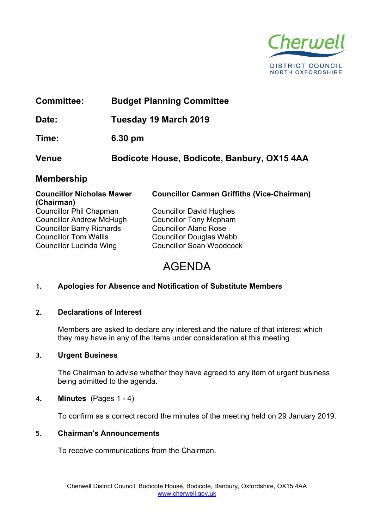

| <b>Committee:</b>                              |  | <b>Budget Planning Committee</b>                   |  |
|------------------------------------------------|--|----------------------------------------------------|--|
| Date:                                          |  | Tuesday 19 March 2019                              |  |
| Time:                                          |  | 6.30 pm                                            |  |
| <b>Venue</b>                                   |  | Bodicote House, Bodicote, Banbury, OX15 4AA        |  |
| <b>Membership</b>                              |  |                                                    |  |
| <b>Councillor Nicholas Mawer</b><br>(Chairman) |  | <b>Councillor Carmen Griffiths (Vice-Chairman)</b> |  |
| <b>Councillor Phil Chapman</b>                 |  | <b>Councillor David Hughes</b>                     |  |
| <b>Councillor Andrew McHugh</b>                |  | <b>Councillor Tony Mepham</b>                      |  |
| <b>Councillor Barry Richards</b>               |  | <b>Councillor Alaric Rose</b>                      |  |
| <b>Councillor Tom Wallis</b>                   |  | <b>Councillor Douglas Webb</b>                     |  |

# AGENDA

# **1. Apologies for Absence and Notification of Substitute Members**

Councillor Lucinda Wing Councillor Sean Woodcock

### **2. Declarations of Interest**

Members are asked to declare any interest and the nature of that interest which they may have in any of the items under consideration at this meeting.

#### **3. Urgent Business**

The Chairman to advise whether they have agreed to any item of urgent business being admitted to the agenda.

**4. Minutes** (Pages 1 - 4)

To confirm as a correct record the minutes of the meeting held on 29 January 2019.

### **5. Chairman's Announcements**

To receive communications from the Chairman.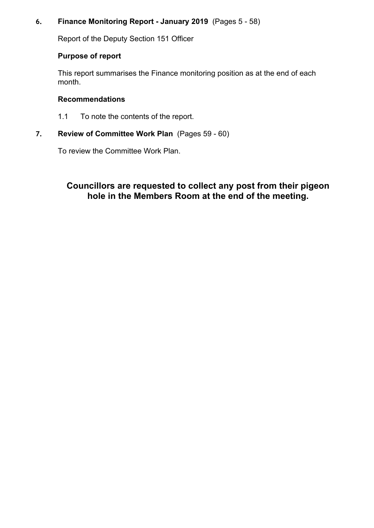# **6. Finance Monitoring Report - January 2019** (Pages 5 - 58)

Report of the Deputy Section 151 Officer

# **Purpose of report**

This report summarises the Finance monitoring position as at the end of each month.

### **Recommendations**

1.1 To note the contents of the report.

# **7. Review of Committee Work Plan** (Pages 59 - 60)

To review the Committee Work Plan.

# **Councillors are requested to collect any post from their pigeon hole in the Members Room at the end of the meeting.**